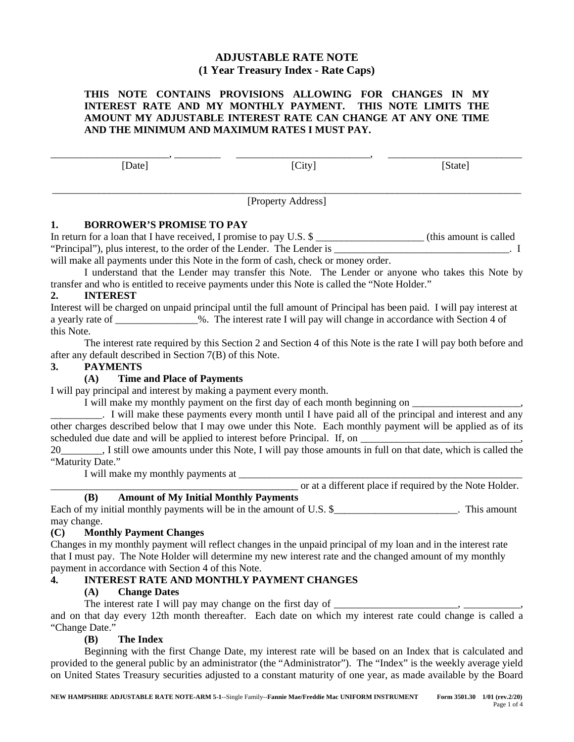# **ADJUSTABLE RATE NOTE (1 Year Treasury Index - Rate Caps)**

# **THIS NOTE CONTAINS PROVISIONS ALLOWING FOR CHANGES IN MY INTEREST RATE AND MY MONTHLY PAYMENT. THIS NOTE LIMITS THE AMOUNT MY ADJUSTABLE INTEREST RATE CAN CHANGE AT ANY ONE TIME AND THE MINIMUM AND MAXIMUM RATES I MUST PAY.**

\_\_\_\_\_\_\_\_\_\_\_\_\_\_\_\_\_\_\_\_\_\_\_, \_\_\_\_\_\_\_\_\_ \_\_\_\_\_\_\_\_\_\_\_\_\_\_\_\_\_\_\_\_\_\_\_\_\_\_, \_\_\_\_\_\_\_\_\_\_\_\_\_\_\_\_\_\_\_\_\_\_\_\_\_\_ [Date] [City] [State] \_\_\_\_\_\_\_\_\_\_\_\_\_\_\_\_\_\_\_\_\_\_\_\_\_\_\_\_\_\_\_\_\_\_\_\_\_\_\_\_\_\_\_\_\_\_\_\_\_\_\_\_\_\_\_\_\_\_\_\_\_\_\_\_\_\_\_\_\_\_\_\_\_\_\_\_\_\_\_\_\_\_\_\_\_\_\_\_\_\_\_

[Property Address]

# **1. BORROWER'S PROMISE TO PAY**

In return for a loan that I have received, I promise to pay U.S. \$ "Principal"), plus interest, to the order of the Lender. The Lender is \_\_\_\_\_\_\_\_\_\_\_\_\_\_\_\_\_\_\_\_\_\_\_\_\_\_\_\_\_. I will make all payments under this Note in the form of cash, check or money order.

I understand that the Lender may transfer this Note. The Lender or anyone who takes this Note by transfer and who is entitled to receive payments under this Note is called the "Note Holder."

# **2. INTEREST**

Interest will be charged on unpaid principal until the full amount of Principal has been paid. I will pay interest at a yearly rate of \_\_\_\_\_\_\_\_\_\_\_\_\_\_\_\_%. The interest rate I will pay will change in accordance with Section 4 of this Note.

The interest rate required by this Section 2 and Section 4 of this Note is the rate I will pay both before and after any default described in Section 7(B) of this Note.

#### **3. PAYMENTS**

## **(A) Time and Place of Payments**

I will pay principal and interest by making a payment every month.

I will make my monthly payment on the first day of each month beginning on

\_\_\_\_\_\_\_\_\_\_. I will make these payments every month until I have paid all of the principal and interest and any other charges described below that I may owe under this Note. Each monthly payment will be applied as of its scheduled due date and will be applied to interest before Principal. If, on

20\_\_\_\_\_\_\_\_, I still owe amounts under this Note, I will pay those amounts in full on that date, which is called the "Maturity Date."

I will make my monthly payments at \_\_\_\_\_\_\_\_\_\_\_\_\_\_\_\_\_\_\_\_\_\_\_\_\_\_\_\_\_\_\_\_\_\_\_\_\_\_\_\_\_\_\_\_\_\_\_\_\_\_\_\_\_\_\_

\_\_\_\_\_\_\_\_\_\_\_\_\_\_\_\_\_\_\_\_\_\_\_\_\_\_\_\_\_\_\_\_\_\_\_\_\_\_\_\_\_\_\_\_\_\_\_\_ or at a different place if required by the Note Holder.

## **(B) Amount of My Initial Monthly Payments**

Each of my initial monthly payments will be in the amount of U.S. \$ This amount of U.S. may change.

## **(C) Monthly Payment Changes**

Changes in my monthly payment will reflect changes in the unpaid principal of my loan and in the interest rate that I must pay. The Note Holder will determine my new interest rate and the changed amount of my monthly payment in accordance with Section 4 of this Note.

# **4. INTEREST RATE AND MONTHLY PAYMENT CHANGES**

## **(A) Change Dates**

The interest rate I will pay may change on the first day of

and on that day every 12th month thereafter. Each date on which my interest rate could change is called a "Change Date."

# **(B) The Index**

Beginning with the first Change Date, my interest rate will be based on an Index that is calculated and provided to the general public by an administrator (the "Administrator"). The "Index" is the weekly average yield on United States Treasury securities adjusted to a constant maturity of one year, as made available by the Board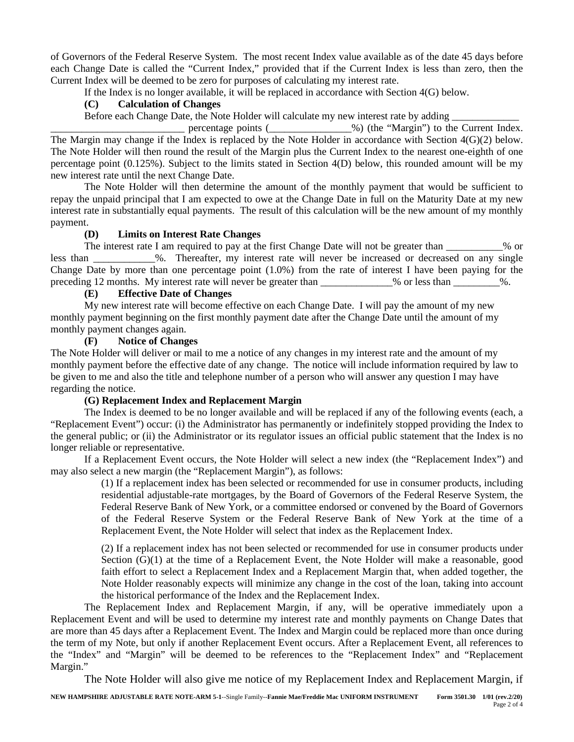of Governors of the Federal Reserve System. The most recent Index value available as of the date 45 days before each Change Date is called the "Current Index," provided that if the Current Index is less than zero, then the Current Index will be deemed to be zero for purposes of calculating my interest rate.

If the Index is no longer available, it will be replaced in accordance with Section 4(G) below.

## **(C) Calculation of Changes**

Before each Change Date, the Note Holder will calculate my new interest rate by adding

percentage points (2002) (the "Margin") to the Current Index. The Margin may change if the Index is replaced by the Note Holder in accordance with Section 4(G)(2) below. The Note Holder will then round the result of the Margin plus the Current Index to the nearest one-eighth of one percentage point (0.125%). Subject to the limits stated in Section 4(D) below, this rounded amount will be my new interest rate until the next Change Date.

The Note Holder will then determine the amount of the monthly payment that would be sufficient to repay the unpaid principal that I am expected to owe at the Change Date in full on the Maturity Date at my new interest rate in substantially equal payments. The result of this calculation will be the new amount of my monthly payment.

## **(D) Limits on Interest Rate Changes**

The interest rate I am required to pay at the first Change Date will not be greater than 1998 or less than \_\_\_\_\_\_\_\_\_\_\_\_%. Thereafter, my interest rate will never be increased or decreased on any single Change Date by more than one percentage point (1.0%) from the rate of interest I have been paying for the preceding 12 months. My interest rate will never be greater than \_\_\_\_\_\_\_\_\_\_\_\_% or less than \_\_\_\_\_\_\_\_\_%.

# **(E) Effective Date of Changes**

My new interest rate will become effective on each Change Date. I will pay the amount of my new monthly payment beginning on the first monthly payment date after the Change Date until the amount of my monthly payment changes again.

# **(F) Notice of Changes**

The Note Holder will deliver or mail to me a notice of any changes in my interest rate and the amount of my monthly payment before the effective date of any change. The notice will include information required by law to be given to me and also the title and telephone number of a person who will answer any question I may have regarding the notice.

## **(G) Replacement Index and Replacement Margin**

The Index is deemed to be no longer available and will be replaced if any of the following events (each, a "Replacement Event") occur: (i) the Administrator has permanently or indefinitely stopped providing the Index to the general public; or (ii) the Administrator or its regulator issues an official public statement that the Index is no longer reliable or representative.

If a Replacement Event occurs, the Note Holder will select a new index (the "Replacement Index") and may also select a new margin (the "Replacement Margin"), as follows:

(1) If a replacement index has been selected or recommended for use in consumer products, including residential adjustable-rate mortgages, by the Board of Governors of the Federal Reserve System, the Federal Reserve Bank of New York, or a committee endorsed or convened by the Board of Governors of the Federal Reserve System or the Federal Reserve Bank of New York at the time of a Replacement Event, the Note Holder will select that index as the Replacement Index.

(2) If a replacement index has not been selected or recommended for use in consumer products under Section (G)(1) at the time of a Replacement Event, the Note Holder will make a reasonable, good faith effort to select a Replacement Index and a Replacement Margin that, when added together, the Note Holder reasonably expects will minimize any change in the cost of the loan, taking into account the historical performance of the Index and the Replacement Index.

The Replacement Index and Replacement Margin, if any, will be operative immediately upon a Replacement Event and will be used to determine my interest rate and monthly payments on Change Dates that are more than 45 days after a Replacement Event. The Index and Margin could be replaced more than once during the term of my Note, but only if another Replacement Event occurs. After a Replacement Event, all references to the "Index" and "Margin" will be deemed to be references to the "Replacement Index" and "Replacement Margin."

The Note Holder will also give me notice of my Replacement Index and Replacement Margin, if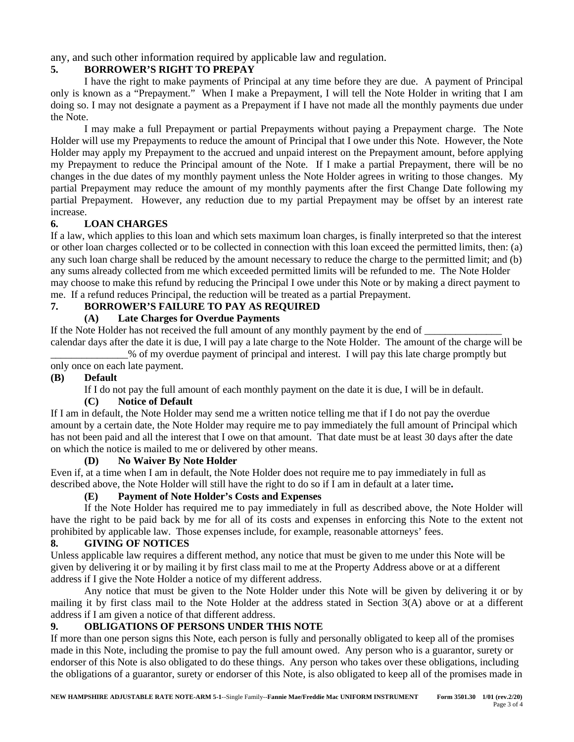any, and such other information required by applicable law and regulation.

# **5. BORROWER'S RIGHT TO PREPAY**

I have the right to make payments of Principal at any time before they are due. A payment of Principal only is known as a "Prepayment." When I make a Prepayment, I will tell the Note Holder in writing that I am doing so. I may not designate a payment as a Prepayment if I have not made all the monthly payments due under the Note.

I may make a full Prepayment or partial Prepayments without paying a Prepayment charge. The Note Holder will use my Prepayments to reduce the amount of Principal that I owe under this Note. However, the Note Holder may apply my Prepayment to the accrued and unpaid interest on the Prepayment amount, before applying my Prepayment to reduce the Principal amount of the Note. If I make a partial Prepayment, there will be no changes in the due dates of my monthly payment unless the Note Holder agrees in writing to those changes. My partial Prepayment may reduce the amount of my monthly payments after the first Change Date following my partial Prepayment. However, any reduction due to my partial Prepayment may be offset by an interest rate increase.

# **6. LOAN CHARGES**

If a law, which applies to this loan and which sets maximum loan charges, is finally interpreted so that the interest or other loan charges collected or to be collected in connection with this loan exceed the permitted limits, then: (a) any such loan charge shall be reduced by the amount necessary to reduce the charge to the permitted limit; and (b) any sums already collected from me which exceeded permitted limits will be refunded to me. The Note Holder may choose to make this refund by reducing the Principal I owe under this Note or by making a direct payment to me. If a refund reduces Principal, the reduction will be treated as a partial Prepayment.

# **7. BORROWER'S FAILURE TO PAY AS REQUIRED**

# **(A) Late Charges for Overdue Payments**

If the Note Holder has not received the full amount of any monthly payment by the end of calendar days after the date it is due, I will pay a late charge to the Note Holder. The amount of the charge will be

\_\_\_\_\_\_\_\_\_\_\_\_\_\_\_% of my overdue payment of principal and interest. I will pay this late charge promptly but only once on each late payment.

# **(B) Default**

If I do not pay the full amount of each monthly payment on the date it is due, I will be in default.

# **(C) Notice of Default**

If I am in default, the Note Holder may send me a written notice telling me that if I do not pay the overdue amount by a certain date, the Note Holder may require me to pay immediately the full amount of Principal which has not been paid and all the interest that I owe on that amount. That date must be at least 30 days after the date on which the notice is mailed to me or delivered by other means.

## **(D) No Waiver By Note Holder**

Even if, at a time when I am in default, the Note Holder does not require me to pay immediately in full as described above, the Note Holder will still have the right to do so if I am in default at a later time**.**

## **(E) Payment of Note Holder's Costs and Expenses**

If the Note Holder has required me to pay immediately in full as described above, the Note Holder will have the right to be paid back by me for all of its costs and expenses in enforcing this Note to the extent not prohibited by applicable law. Those expenses include, for example, reasonable attorneys' fees.

## **8. GIVING OF NOTICES**

Unless applicable law requires a different method, any notice that must be given to me under this Note will be given by delivering it or by mailing it by first class mail to me at the Property Address above or at a different address if I give the Note Holder a notice of my different address.

Any notice that must be given to the Note Holder under this Note will be given by delivering it or by mailing it by first class mail to the Note Holder at the address stated in Section 3(A) above or at a different address if I am given a notice of that different address.

# **9. OBLIGATIONS OF PERSONS UNDER THIS NOTE**

If more than one person signs this Note, each person is fully and personally obligated to keep all of the promises made in this Note, including the promise to pay the full amount owed. Any person who is a guarantor, surety or endorser of this Note is also obligated to do these things. Any person who takes over these obligations, including the obligations of a guarantor, surety or endorser of this Note, is also obligated to keep all of the promises made in